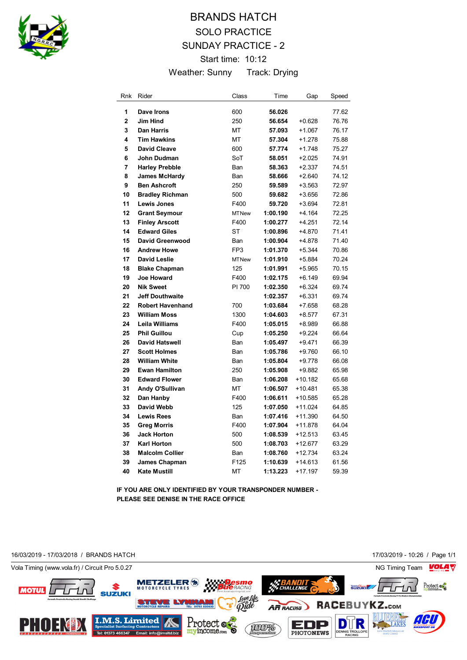

# BRANDS HATCH SOLO PRACTICE SUNDAY PRACTICE - 2 Start time: 10:12 Weather: Sunny Track: Drying

| Rnk            | Rider                   | Class           | Time     | Gap       | Speed |
|----------------|-------------------------|-----------------|----------|-----------|-------|
| 1              | Dave Irons              | 600             | 56.026   |           | 77.62 |
| $\overline{2}$ | <b>Jim Hind</b>         | 250             | 56.654   | $+0.628$  | 76.76 |
| 3              | <b>Dan Harris</b>       | МT              | 57.093   | $+1.067$  | 76.17 |
| 4              | <b>Tim Hawkins</b>      | МT              | 57.304   | +1.278    | 75.88 |
| 5              | <b>David Cleave</b>     | 600             | 57.774   | $+1.748$  | 75.27 |
| 6              | John Dudman             | SoT             | 58.051   | $+2.025$  | 74.91 |
| 7              | <b>Harley Prebble</b>   | Ban             | 58.363   | $+2.337$  | 74.51 |
| 8              | <b>James McHardy</b>    | Ban             | 58.666   | +2.640    | 74.12 |
| 9              | <b>Ben Ashcroft</b>     | 250             | 59.589   | +3.563    | 72.97 |
| 10             | <b>Bradley Richman</b>  | 500             | 59.682   | $+3.656$  | 72.86 |
| 11             | <b>Lewis Jones</b>      | F400            | 59.720   | $+3.694$  | 72.81 |
| 12             | <b>Grant Seymour</b>    | <b>MTNew</b>    | 1:00.190 | +4.164    | 72.25 |
| 13             | <b>Finley Arscott</b>   | F400            | 1:00.277 | +4.251    | 72.14 |
| 14             | <b>Edward Giles</b>     | <b>ST</b>       | 1:00.896 | +4.870    | 71.41 |
| 15             | David Greenwood         | Ban             | 1:00.904 | +4.878    | 71.40 |
| 16             | <b>Andrew Howe</b>      | FP <sub>3</sub> | 1:01.370 | $+5.344$  | 70.86 |
| 17             | <b>David Leslie</b>     | <b>MTNew</b>    | 1:01.910 | +5.884    | 70.24 |
| 18             | <b>Blake Chapman</b>    | 125             | 1:01.991 | $+5.965$  | 70.15 |
| 19             | <b>Joe Howard</b>       | F400            | 1:02.175 | $+6.149$  | 69.94 |
| 20             | <b>Nik Sweet</b>        | PI 700          | 1:02.350 | $+6.324$  | 69.74 |
| 21             | <b>Jeff Douthwaite</b>  |                 | 1:02.357 | $+6.331$  | 69.74 |
| 22             | <b>Robert Havenhand</b> | 700             | 1:03.684 | $+7.658$  | 68.28 |
| 23             | <b>William Moss</b>     | 1300            | 1:04.603 | $+8.577$  | 67.31 |
| 24             | Leila Williams          | F400            | 1:05.015 | +8.989    | 66.88 |
| 25             | <b>Phil Guillou</b>     | Cup             | 1:05.250 | $+9.224$  | 66.64 |
| 26             | <b>David Hatswell</b>   | Ban             | 1:05.497 | +9.471    | 66.39 |
| 27             | <b>Scott Holmes</b>     | Ban             | 1:05.786 | $+9.760$  | 66.10 |
| 28             | <b>William White</b>    | Ban             | 1:05.804 | $+9.778$  | 66.08 |
| 29             | <b>Ewan Hamilton</b>    | 250             | 1:05.908 | $+9.882$  | 65.98 |
| 30             | <b>Edward Flower</b>    | Ban             | 1:06.208 | $+10.182$ | 65.68 |
| 31             | Andy O'Sullivan         | МT              | 1:06.507 | $+10.481$ | 65.38 |
| 32             | Dan Hanby               | F400            | 1:06.611 | $+10.585$ | 65.28 |
| 33             | David Webb              | 125             | 1:07.050 | $+11.024$ | 64.85 |
| 34             | <b>Lewis Rees</b>       | Ban             | 1:07.416 | $+11.390$ | 64.50 |
| 35             | <b>Greg Morris</b>      | F400            | 1:07.904 | +11.878   | 64.04 |
| 36             | <b>Jack Horton</b>      | 500             | 1:08.539 | $+12.513$ | 63.45 |
| 37             | <b>Karl Horton</b>      | 500             | 1:08.703 | +12.677   | 63.29 |
| 38             | <b>Malcolm Collier</b>  | Ban             | 1:08.760 | $+12.734$ | 63.24 |
| 39             | <b>James Chapman</b>    | F125            | 1:10.639 | $+14.613$ | 61.56 |
| 40             | <b>Kate Mustill</b>     | MT              | 1:13.223 | $+17.197$ | 59.39 |

**IF YOU ARE ONLY IDENTIFIED BY YOUR TRANSPONDER NUMBER - PLEASE SEE DENISE IN THE RACE OFFICE**

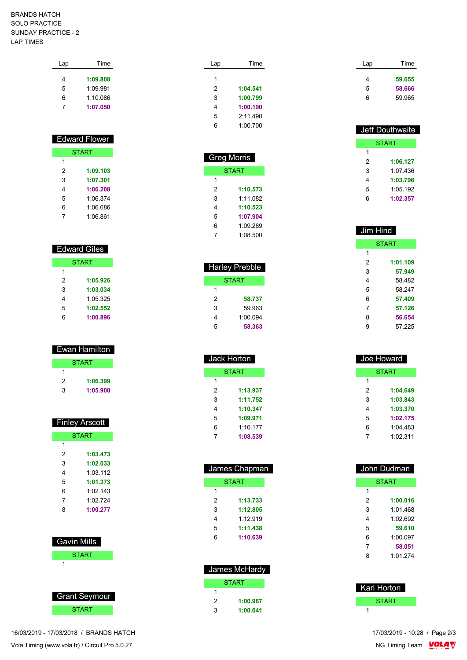### BRANDS HATCH SOLO PRACTICE SUNDAY PRACTICE - 2 LAP TIMES

| Time     |
|----------|
| 1:09.808 |
| 1:09.981 |
| 1:10.086 |
| 1:07.050 |
|          |

## Edward Flower **START**

| 31 AR 1 |          |  |
|---------|----------|--|
| 1       |          |  |
| 2       | 1:09.103 |  |
| 3       | 1:07.301 |  |
| 4       | 1:06.208 |  |
| 5       | 1:06.374 |  |
| 6       | 1:06.686 |  |
|         | 1:06.861 |  |

# Edward Giles

|   | <b>START</b> |
|---|--------------|
| 1 |              |
| 2 | 1:05.926     |
| 3 | 1:03.034     |
| 4 | 1:05.325     |
| 5 | 1:02.552     |
| հ | 1:00.896     |

| Ewan Hamilton |          |  |
|---------------|----------|--|
| <b>START</b>  |          |  |
|               |          |  |
| 2             | 1:06.399 |  |
| З             | 1:05.908 |  |

| <b>Finley Arscott</b> |          |  |
|-----------------------|----------|--|
| <b>START</b>          |          |  |
| 1                     |          |  |
| 2                     | 1:03.473 |  |
| 3                     | 1:02.033 |  |
| 4                     | 1:03:112 |  |
| 5                     | 1:01.373 |  |
| 6                     | 1:02 143 |  |
| 7                     | 1.02 724 |  |
| 8                     | 1:00.277 |  |

| <b>Gavin Mills</b> |
|--------------------|
| <b>START</b>       |
|                    |

| <b>Grant Seymour</b> |  |
|----------------------|--|
| <b>START</b>         |  |

Lap Time **1:04.541 1:00.799 1:00.190** 2:11.490 1:00.700

| <b>Greg Morris</b> |  |  |
|--------------------|--|--|
| <b>START</b>       |  |  |
|                    |  |  |
| 1:10.573           |  |  |
| 1:11.082           |  |  |
| 1:10.523           |  |  |
| 1:07.904           |  |  |
| 1:09.269           |  |  |
| 1:08.500           |  |  |
|                    |  |  |

Ī

| <b>Harley Prebble</b> |          |  |
|-----------------------|----------|--|
| START                 |          |  |
| 1                     |          |  |
| 2                     | 58.737   |  |
| 3                     | 59 963   |  |
| 4                     | 1:00.094 |  |
| 5                     | 58.363   |  |

| Jack Horton  |          |  |
|--------------|----------|--|
| <b>START</b> |          |  |
| 1            |          |  |
| 2            | 1:13.937 |  |
| 3            | 1:11.752 |  |
| 4            | 1:10.347 |  |
| 5            | 1:09.971 |  |
| 6            | 1:10.177 |  |
| 7            | 1:08.539 |  |

| James Chapman |          |  |
|---------------|----------|--|
| <b>START</b>  |          |  |
| 1             |          |  |
| 2             | 1:13.733 |  |
| 3             | 1:12.805 |  |
| 4             | 1.12919  |  |
| 5             | 1:11.438 |  |
| 6             | 1:10.639 |  |
|               |          |  |

| James McHardy |          |
|---------------|----------|
| <b>START</b>  |          |
| 1             |          |
| 2             | 1:00.967 |
| 3             | 1:00.041 |

| Time   |
|--------|
| 59.655 |
| 58.666 |
| 59 965 |
|        |

| Jeff Douthwaite |              |  |
|-----------------|--------------|--|
|                 | <b>START</b> |  |
| 1               |              |  |
| 2               | 1:06.127     |  |
| 3               | 1:07 436     |  |
| 4               | 1:03.796     |  |
| 5               | 1:05.192     |  |
| հ               | 1:02.357     |  |

| Jim Hind |              |
|----------|--------------|
|          | <b>START</b> |
| 1        |              |
| 2        | 1:01.109     |
| 3        | 57.949       |
| 4        | 58.482       |
| 5        | 58 247       |
| 6        | 57.409       |
| 7        | 57.126       |
| 8        | 56.654       |
| 9        | 57 225       |

| Joe Howard |          |
|------------|----------|
|            | START    |
| 1          |          |
| 2          | 1:04.649 |
| 3          | 1:03.843 |
| 4          | 1:03.370 |
| 5          | 1:02.175 |
| 6          | 1:04 483 |
| 7          | 1.02311  |
|            |          |

| John Dudman  |          |
|--------------|----------|
| <b>START</b> |          |
| 1            |          |
| 2            | 1:00.016 |
| 3            | 1:01 468 |
| 4            | 1:02.692 |
| 5            | 59.610   |
| 6            | 1.00097  |
| 7            | 58.051   |
| 8            | 1.01274  |
|              |          |



16/03/2019 - 17/03/2018 / BRANDS HATCH